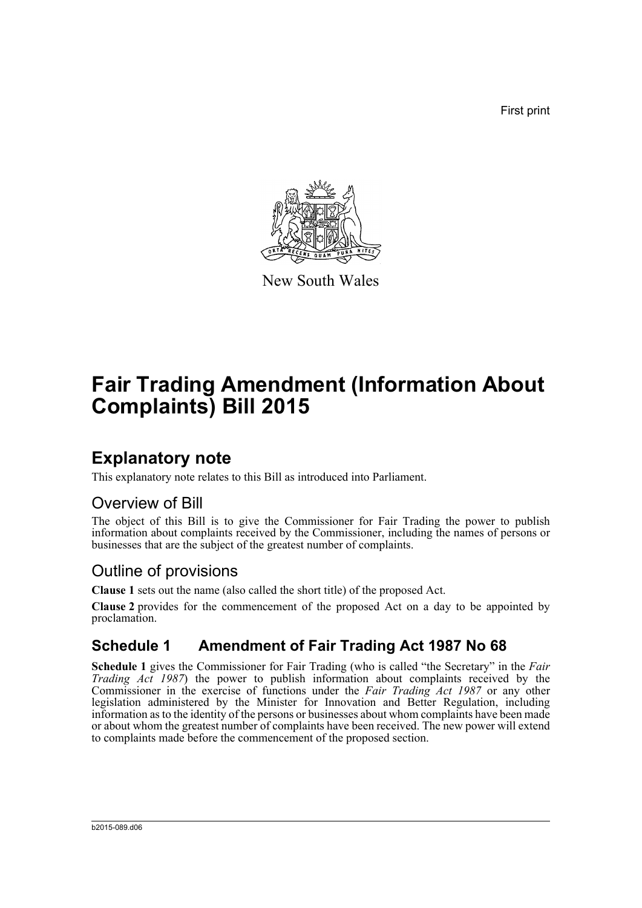First print



New South Wales

# **Fair Trading Amendment (Information About Complaints) Bill 2015**

## **Explanatory note**

This explanatory note relates to this Bill as introduced into Parliament.

### Overview of Bill

The object of this Bill is to give the Commissioner for Fair Trading the power to publish information about complaints received by the Commissioner, including the names of persons or businesses that are the subject of the greatest number of complaints.

## Outline of provisions

**Clause 1** sets out the name (also called the short title) of the proposed Act.

**Clause 2** provides for the commencement of the proposed Act on a day to be appointed by proclamation.

## **Schedule 1 Amendment of Fair Trading Act 1987 No 68**

**Schedule 1** gives the Commissioner for Fair Trading (who is called "the Secretary" in the *Fair Trading Act 1987*) the power to publish information about complaints received by the Commissioner in the exercise of functions under the *Fair Trading Act 1987* or any other legislation administered by the Minister for Innovation and Better Regulation, including information as to the identity of the persons or businesses about whom complaints have been made or about whom the greatest number of complaints have been received. The new power will extend to complaints made before the commencement of the proposed section.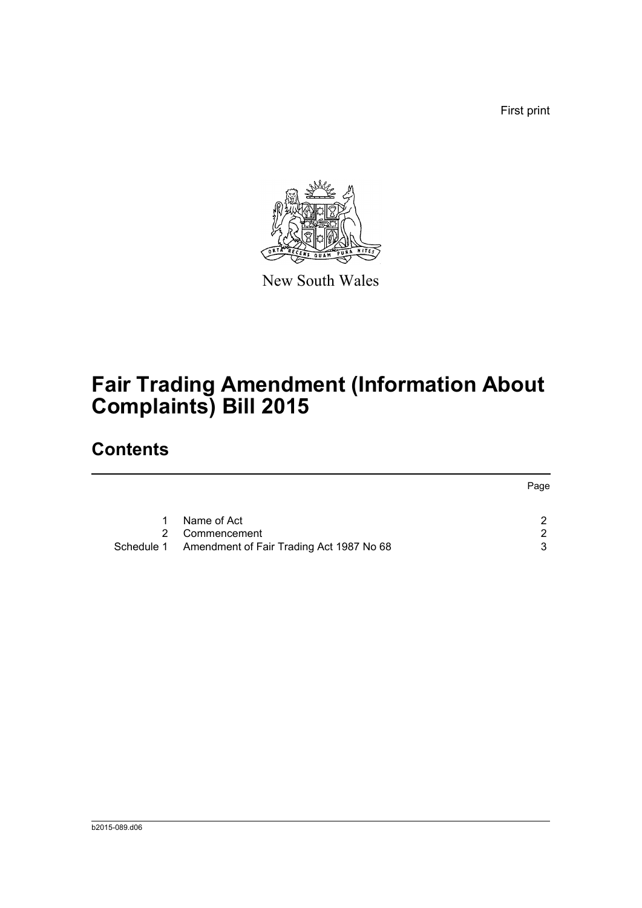First print



New South Wales

# **Fair Trading Amendment (Information About Complaints) Bill 2015**

## **Contents**

|           |                                                     | Page          |
|-----------|-----------------------------------------------------|---------------|
| $1 \quad$ | Name of Act                                         | ົ             |
|           | 2 Commencement                                      | $\mathcal{D}$ |
|           | Schedule 1 Amendment of Fair Trading Act 1987 No 68 |               |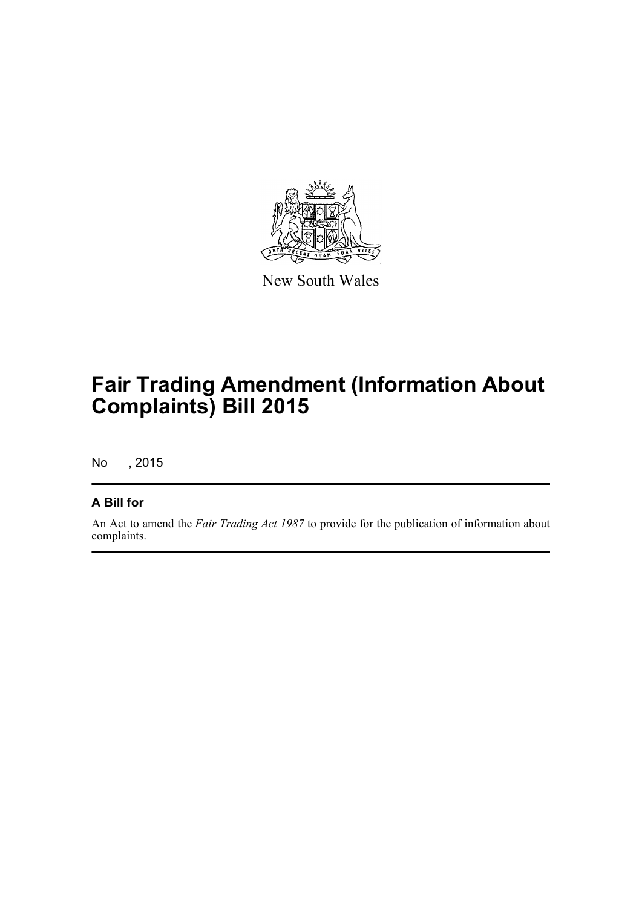

New South Wales

# **Fair Trading Amendment (Information About Complaints) Bill 2015**

No , 2015

### **A Bill for**

An Act to amend the *Fair Trading Act 1987* to provide for the publication of information about complaints.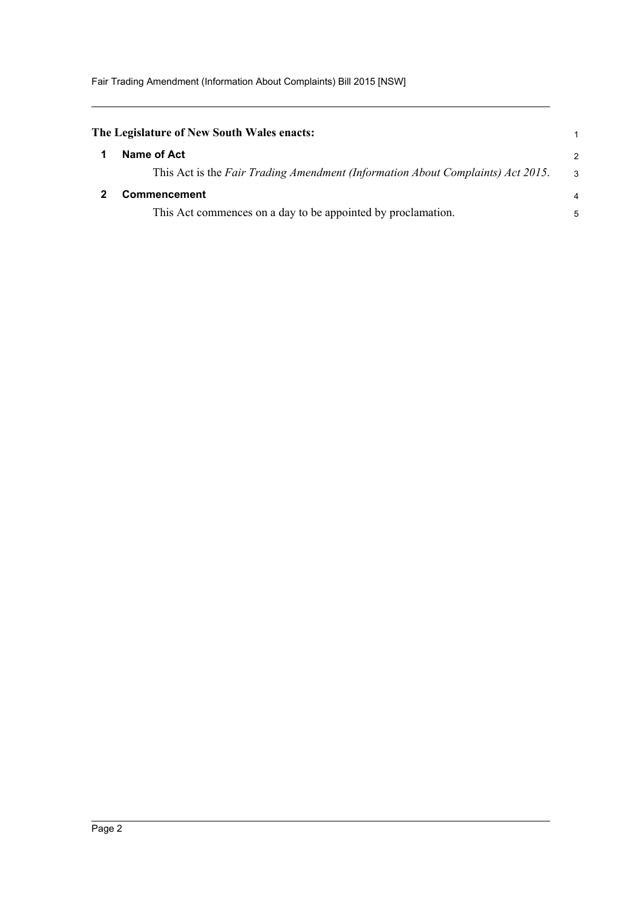<span id="page-3-1"></span><span id="page-3-0"></span>

| The Legislature of New South Wales enacts:                                      |   |
|---------------------------------------------------------------------------------|---|
| Name of Act                                                                     | 2 |
| This Act is the Fair Trading Amendment (Information About Complaints) Act 2015. | 3 |
| <b>Commencement</b>                                                             | 4 |
| This Act commences on a day to be appointed by proclamation.                    | 5 |
|                                                                                 |   |